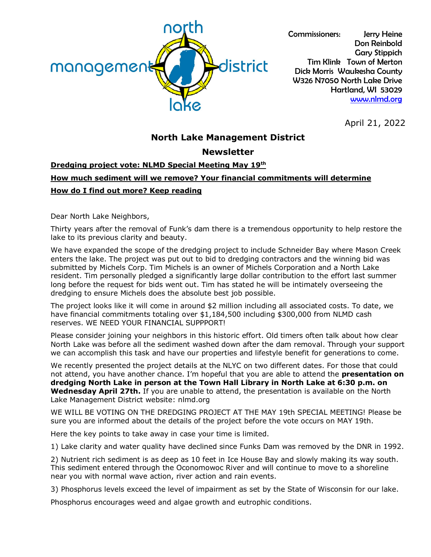

Commissioners: Jerry Heine Don Reinbold Gary Stippich Tim Klink Town of Merton Dick Morris Waukesha County W326 N7050 North Lake Drive Hartland, WI 53029 [www.nlmd.org](http://www.nlmd.org/)

April 21, 2022

## **North Lake Management District**

## **Newsletter**

## **Dredging project vote: NLMD Special Meeting May 19th How much sediment will we remove? Your financial commitments will determine How do I find out more? Keep reading**

Dear North Lake Neighbors,

Thirty years after the removal of Funk's dam there is a tremendous opportunity to help restore the lake to its previous clarity and beauty.

We have expanded the scope of the dredging project to include Schneider Bay where Mason Creek enters the lake. The project was put out to bid to dredging contractors and the winning bid was submitted by Michels Corp. Tim Michels is an owner of Michels Corporation and a North Lake resident. Tim personally pledged a significantly large dollar contribution to the effort last summer long before the request for bids went out. Tim has stated he will be intimately overseeing the dredging to ensure Michels does the absolute best job possible.

The project looks like it will come in around \$2 million including all associated costs. To date, we have financial commitments totaling over \$1,184,500 including \$300,000 from NLMD cash reserves. WE NEED YOUR FINANCIAL SUPPPORT!

Please consider joining your neighbors in this historic effort. Old timers often talk about how clear North Lake was before all the sediment washed down after the dam removal. Through your support we can accomplish this task and have our properties and lifestyle benefit for generations to come.

We recently presented the project details at the NLYC on two different dates. For those that could not attend, you have another chance. I'm hopeful that you are able to attend the **presentation on dredging North Lake in person at the Town Hall Library in North Lake at 6:30 p.m. on Wednesday April 27th.** If you are unable to attend, the presentation is available on the North Lake Management District website: nlmd.org

WE WILL BE VOTING ON THE DREDGING PROJECT AT THE MAY 19th SPECIAL MEETING! Please be sure you are informed about the details of the project before the vote occurs on MAY 19th.

Here the key points to take away in case your time is limited.

1) Lake clarity and water quality have declined since Funks Dam was removed by the DNR in 1992.

2) Nutrient rich sediment is as deep as 10 feet in Ice House Bay and slowly making its way south. This sediment entered through the Oconomowoc River and will continue to move to a shoreline near you with normal wave action, river action and rain events.

3) Phosphorus levels exceed the level of impairment as set by the State of Wisconsin for our lake.

Phosphorus encourages weed and algae growth and eutrophic conditions.